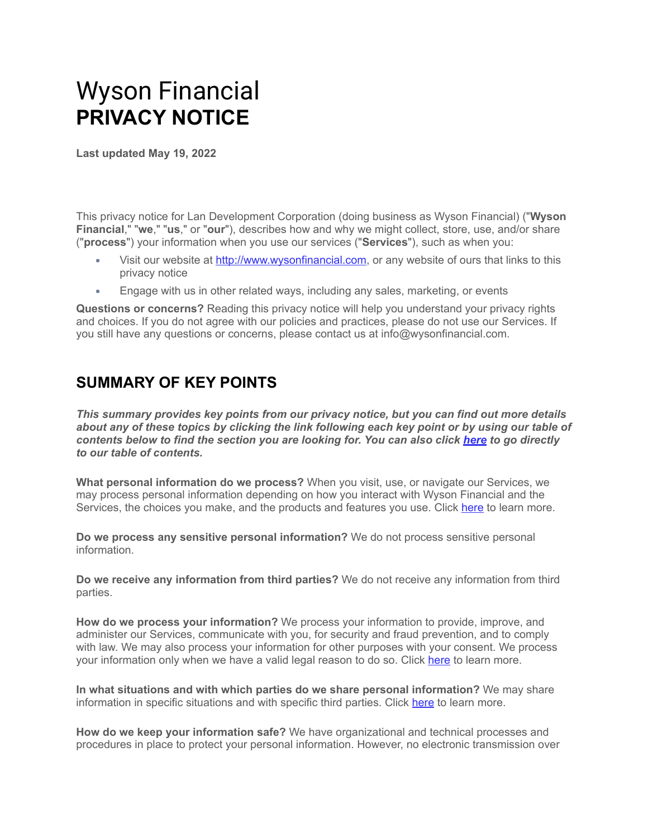# Wyson Financial **PRIVACY NOTICE**

**Last updated May 19, 2022**

This privacy notice for Lan Development Corporation (doing business as Wyson Financial) ("**Wyson Financial**," "**we**," "**us**," or "**our**"), describes how and why we might collect, store, use, and/or share ("**process**") your information when you use our services ("**Services**"), such as when you:

- Visit our website at [http://www.wysonfinancial.com](http://www.wysonfinancial.com/), or any website of ours that links to this privacy notice
- Engage with us in other related ways, including any sales, marketing, or events

**Questions or concerns?** Reading this privacy notice will help you understand your privacy rights and choices. If you do not agree with our policies and practices, please do not use our Services. If you still have any questions or concerns, please contact us at info@wysonfinancial.com.

## **SUMMARY OF KEY POINTS**

*This summary provides key points from our privacy notice, but you can find out more details about any of these topics by clicking the link following each key point or by using our table of contents below to find the section you are looking for. You can also click [here](https://app.termly.io/dashboard/website/d2daca8b-8015-400c-981c-c3dcfcb11d65/privacy-policy#toc) to go directly to our table of contents.*

**What personal information do we process?** When you visit, use, or navigate our Services, we may process personal information depending on how you interact with Wyson Financial and the Services, the choices you make, and the products and features you use. Click [here](https://app.termly.io/dashboard/website/d2daca8b-8015-400c-981c-c3dcfcb11d65/privacy-policy#personalinfo) to learn more.

**Do we process any sensitive personal information?** We do not process sensitive personal information.

**Do we receive any information from third parties?** We do not receive any information from third parties.

**How do we process your information?** We process your information to provide, improve, and administer our Services, communicate with you, for security and fraud prevention, and to comply with law. We may also process your information for other purposes with your consent. We process your information only when we have a valid legal reason to do so. Click [here](https://app.termly.io/dashboard/website/d2daca8b-8015-400c-981c-c3dcfcb11d65/privacy-policy#infouse) to learn more.

**In what situations and with which parties do we share personal information?** We may share information in specific situations and with specific third parties. Click [here](https://app.termly.io/dashboard/website/d2daca8b-8015-400c-981c-c3dcfcb11d65/privacy-policy#whoshare) to learn more.

**How do we keep your information safe?** We have organizational and technical processes and procedures in place to protect your personal information. However, no electronic transmission over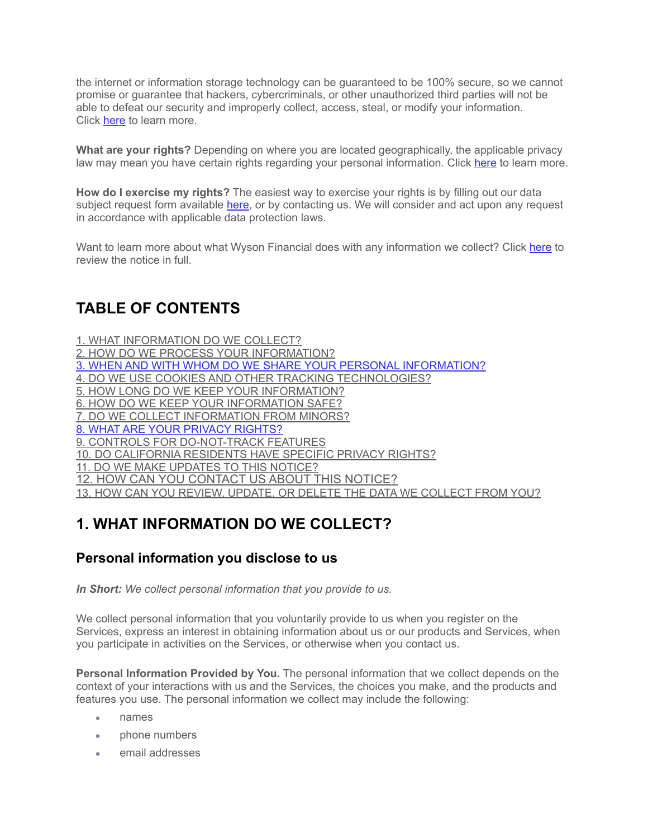the internet or information storage technology can be guaranteed to be 100% secure, so we cannot promise or guarantee that hackers, cybercriminals, or other unauthorized third parties will not be able to defeat our security and improperly collect, access, steal, or modify your information. Click [here](https://app.termly.io/dashboard/website/d2daca8b-8015-400c-981c-c3dcfcb11d65/privacy-policy#infosafe) to learn more.

**What are your rights?** Depending on where you are located geographically, the applicable privacy law may mean you have certain rights regarding your personal information. Click [here](https://app.termly.io/dashboard/website/d2daca8b-8015-400c-981c-c3dcfcb11d65/privacy-policy#privacyrights) to learn more.

**How do I exercise my rights?** The easiest way to exercise your rights is by filling out our data subject request form available [here](https://app.termly.io/notify/f787a59a-38ad-4618-895e-8b522ffa8648), or by contacting us. We will consider and act upon any request in accordance with applicable data protection laws.

Want to learn more about what Wyson Financial does with any information we collect? Click [here](https://app.termly.io/dashboard/website/d2daca8b-8015-400c-981c-c3dcfcb11d65/privacy-policy#toc) to review the notice in full.

## **TABLE OF CONTENTS**

[1. WHAT INFORMATION DO WE COLLECT?](https://app.termly.io/dashboard/website/d2daca8b-8015-400c-981c-c3dcfcb11d65/privacy-policy#infocollect)

[2. HOW DO WE PROCESS YOUR INFORMATION?](https://app.termly.io/dashboard/website/d2daca8b-8015-400c-981c-c3dcfcb11d65/privacy-policy#infouse)

[3. WHEN AND WITH WHOM DO WE SHARE YOUR PERSONAL INFORMATION?](https://app.termly.io/dashboard/website/d2daca8b-8015-400c-981c-c3dcfcb11d65/privacy-policy#whoshare)

[4. DO WE USE COOKIES AND OTHER TRACKING TECHNOLOGIES?](https://app.termly.io/dashboard/website/d2daca8b-8015-400c-981c-c3dcfcb11d65/privacy-policy#cookies)

[5. HOW LONG DO WE KEEP YOUR INFORMATION?](https://app.termly.io/dashboard/website/d2daca8b-8015-400c-981c-c3dcfcb11d65/privacy-policy#inforetain)

[6. HOW DO WE KEEP YOUR INFORMATION SAFE?](https://app.termly.io/dashboard/website/d2daca8b-8015-400c-981c-c3dcfcb11d65/privacy-policy#infosafe)

[7. DO WE COLLECT INFORMATION FROM MINORS?](https://app.termly.io/dashboard/website/d2daca8b-8015-400c-981c-c3dcfcb11d65/privacy-policy#infominors)

[8. WHAT ARE YOUR PRIVACY RIGHTS?](https://app.termly.io/dashboard/website/d2daca8b-8015-400c-981c-c3dcfcb11d65/privacy-policy#privacyrights)

[9. CONTROLS FOR DO-NOT-TRACK FEATURES](https://app.termly.io/dashboard/website/d2daca8b-8015-400c-981c-c3dcfcb11d65/privacy-policy#DNT)

[10. DO CALIFORNIA RESIDENTS HAVE SPECIFIC PRIVACY RIGHTS?](https://app.termly.io/dashboard/website/d2daca8b-8015-400c-981c-c3dcfcb11d65/privacy-policy#caresidents)

[11. DO WE MAKE UPDATES TO THIS NOTICE?](https://app.termly.io/dashboard/website/d2daca8b-8015-400c-981c-c3dcfcb11d65/privacy-policy#policyupdates)

[12. HOW CAN YOU CONTACT US ABOUT THIS NOTICE?](https://app.termly.io/dashboard/website/d2daca8b-8015-400c-981c-c3dcfcb11d65/privacy-policy#contact)

[13. HOW CAN YOU REVIEW, UPDATE, OR DELETE THE DATA WE COLLECT FROM YOU?](https://app.termly.io/dashboard/website/d2daca8b-8015-400c-981c-c3dcfcb11d65/privacy-policy#request)

## **1. WHAT INFORMATION DO WE COLLECT?**

#### **Personal information you disclose to us**

*In Short: We collect personal information that you provide to us.*

We collect personal information that you voluntarily provide to us when you register on the Services, express an interest in obtaining information about us or our products and Services, when you participate in activities on the Services, or otherwise when you contact us.

**Personal Information Provided by You.** The personal information that we collect depends on the context of your interactions with us and the Services, the choices you make, and the products and features you use. The personal information we collect may include the following:

- names
- **phone numbers**
- email addresses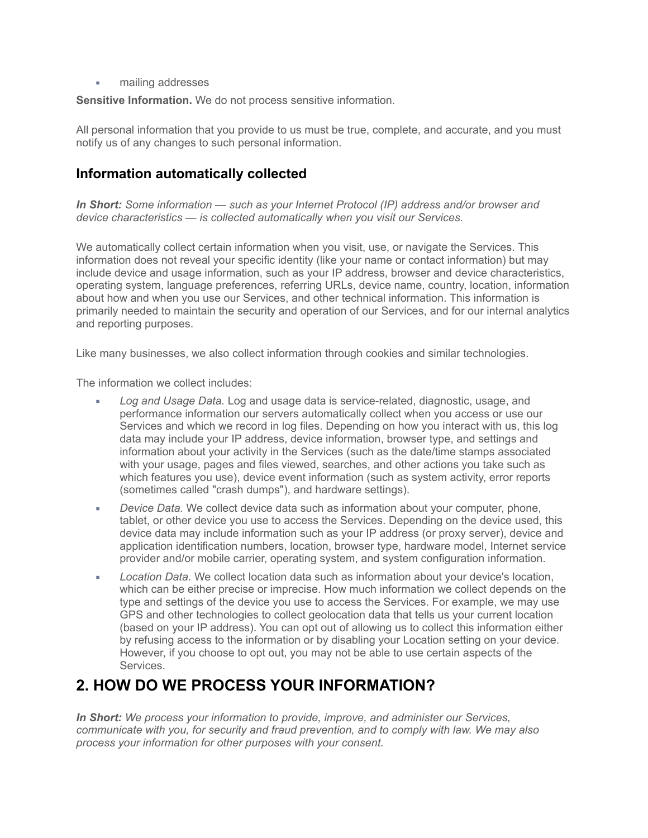mailing addresses

**Sensitive Information.** We do not process sensitive information.

All personal information that you provide to us must be true, complete, and accurate, and you must notify us of any changes to such personal information.

#### **Information automatically collected**

*In Short: Some information — such as your Internet Protocol (IP) address and/or browser and device characteristics — is collected automatically when you visit our Services.*

We automatically collect certain information when you visit, use, or navigate the Services. This information does not reveal your specific identity (like your name or contact information) but may include device and usage information, such as your IP address, browser and device characteristics, operating system, language preferences, referring URLs, device name, country, location, information about how and when you use our Services, and other technical information. This information is primarily needed to maintain the security and operation of our Services, and for our internal analytics and reporting purposes.

Like many businesses, we also collect information through cookies and similar technologies.

The information we collect includes:

- Log and Usage Data. Log and usage data is service-related, diagnostic, usage, and performance information our servers automatically collect when you access or use our Services and which we record in log files. Depending on how you interact with us, this log data may include your IP address, device information, browser type, and settings and information about your activity in the Services (such as the date/time stamps associated with your usage, pages and files viewed, searches, and other actions you take such as which features you use), device event information (such as system activity, error reports (sometimes called "crash dumps"), and hardware settings).
- *Device Data.* We collect device data such as information about your computer, phone, tablet, or other device you use to access the Services. Depending on the device used, this device data may include information such as your IP address (or proxy server), device and application identification numbers, location, browser type, hardware model, Internet service provider and/or mobile carrier, operating system, and system configuration information.
- **EXEC** *Location Data.* We collect location data such as information about your device's location, which can be either precise or imprecise. How much information we collect depends on the type and settings of the device you use to access the Services. For example, we may use GPS and other technologies to collect geolocation data that tells us your current location (based on your IP address). You can opt out of allowing us to collect this information either by refusing access to the information or by disabling your Location setting on your device. However, if you choose to opt out, you may not be able to use certain aspects of the Services.

## **2. HOW DO WE PROCESS YOUR INFORMATION?**

*In Short: We process your information to provide, improve, and administer our Services, communicate with you, for security and fraud prevention, and to comply with law. We may also process your information for other purposes with your consent.*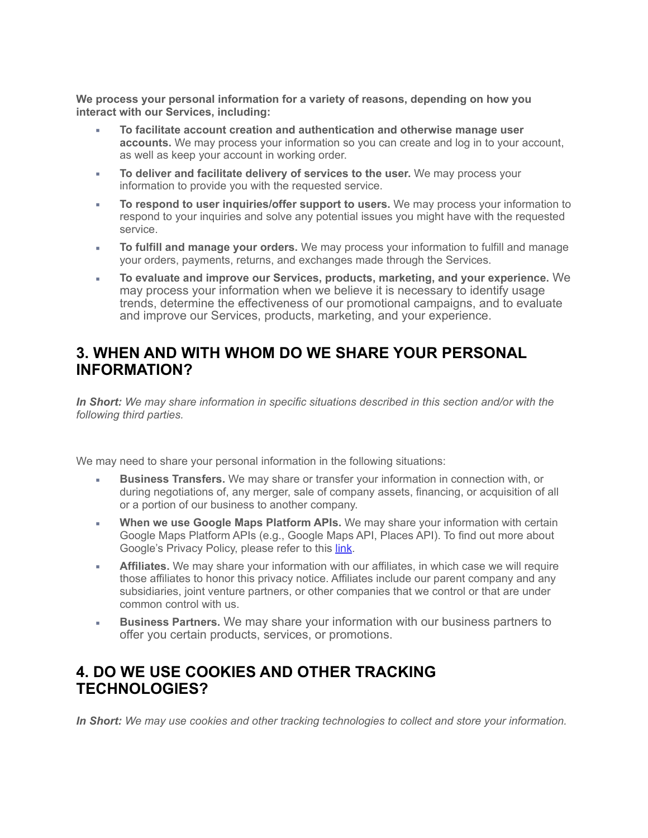**We process your personal information for a variety of reasons, depending on how you interact with our Services, including:**

- **To facilitate account creation and authentication and otherwise manage user accounts.** We may process your information so you can create and log in to your account, as well as keep your account in working order.
- **EXED** To deliver and facilitate delivery of services to the user. We may process your information to provide you with the requested service.
- To respond to user inquiries/offer support to users. We may process your information to respond to your inquiries and solve any potential issues you might have with the requested service.
- **To fulfill and manage your orders.** We may process your information to fulfill and manage your orders, payments, returns, and exchanges made through the Services.
- **To evaluate and improve our Services, products, marketing, and your experience.** We may process your information when we believe it is necessary to identify usage trends, determine the effectiveness of our promotional campaigns, and to evaluate and improve our Services, products, marketing, and your experience.

#### **3. WHEN AND WITH WHOM DO WE SHARE YOUR PERSONAL INFORMATION?**

*In Short: We may share information in specific situations described in this section and/or with the following third parties.*

We may need to share your personal information in the following situations:

- **Business Transfers.** We may share or transfer your information in connection with, or during negotiations of, any merger, sale of company assets, financing, or acquisition of all or a portion of our business to another company.
- **When we use Google Maps Platform APIs.** We may share your information with certain Google Maps Platform APIs (e.g., Google Maps API, Places API). To find out more about Google's Privacy Policy, please refer to this *link*.
- **Affiliates.** We may share your information with our affiliates, in which case we will require those affiliates to honor this privacy notice. Affiliates include our parent company and any subsidiaries, joint venture partners, or other companies that we control or that are under common control with us.
- **Business Partners.** We may share your information with our business partners to offer you certain products, services, or promotions.

#### **4. DO WE USE COOKIES AND OTHER TRACKING TECHNOLOGIES?**

*In Short: We may use cookies and other tracking technologies to collect and store your information.*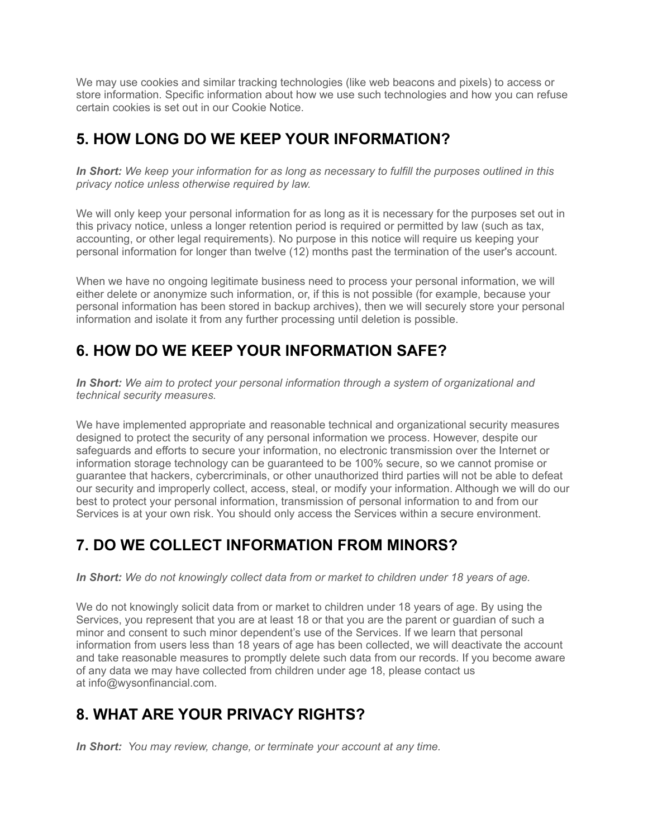We may use cookies and similar tracking technologies (like web beacons and pixels) to access or store information. Specific information about how we use such technologies and how you can refuse certain cookies is set out in our Cookie Notice.

## **5. HOW LONG DO WE KEEP YOUR INFORMATION?**

*In Short: We keep your information for as long as necessary to fulfill the purposes outlined in this privacy notice unless otherwise required by law.*

We will only keep your personal information for as long as it is necessary for the purposes set out in this privacy notice, unless a longer retention period is required or permitted by law (such as tax, accounting, or other legal requirements). No purpose in this notice will require us keeping your personal information for longer than twelve (12) months past the termination of the user's account.

When we have no ongoing legitimate business need to process your personal information, we will either delete or anonymize such information, or, if this is not possible (for example, because your personal information has been stored in backup archives), then we will securely store your personal information and isolate it from any further processing until deletion is possible.

# **6. HOW DO WE KEEP YOUR INFORMATION SAFE?**

*In Short: We aim to protect your personal information through a system of organizational and technical security measures.*

We have implemented appropriate and reasonable technical and organizational security measures designed to protect the security of any personal information we process. However, despite our safeguards and efforts to secure your information, no electronic transmission over the Internet or information storage technology can be guaranteed to be 100% secure, so we cannot promise or guarantee that hackers, cybercriminals, or other unauthorized third parties will not be able to defeat our security and improperly collect, access, steal, or modify your information. Although we will do our best to protect your personal information, transmission of personal information to and from our Services is at your own risk. You should only access the Services within a secure environment.

# **7. DO WE COLLECT INFORMATION FROM MINORS?**

*In Short: We do not knowingly collect data from or market to children under 18 years of age.*

We do not knowingly solicit data from or market to children under 18 years of age. By using the Services, you represent that you are at least 18 or that you are the parent or guardian of such a minor and consent to such minor dependent's use of the Services. If we learn that personal information from users less than 18 years of age has been collected, we will deactivate the account and take reasonable measures to promptly delete such data from our records. If you become aware of any data we may have collected from children under age 18, please contact us at info@wysonfinancial.com.

# **8. WHAT ARE YOUR PRIVACY RIGHTS?**

*In Short: You may review, change, or terminate your account at any time.*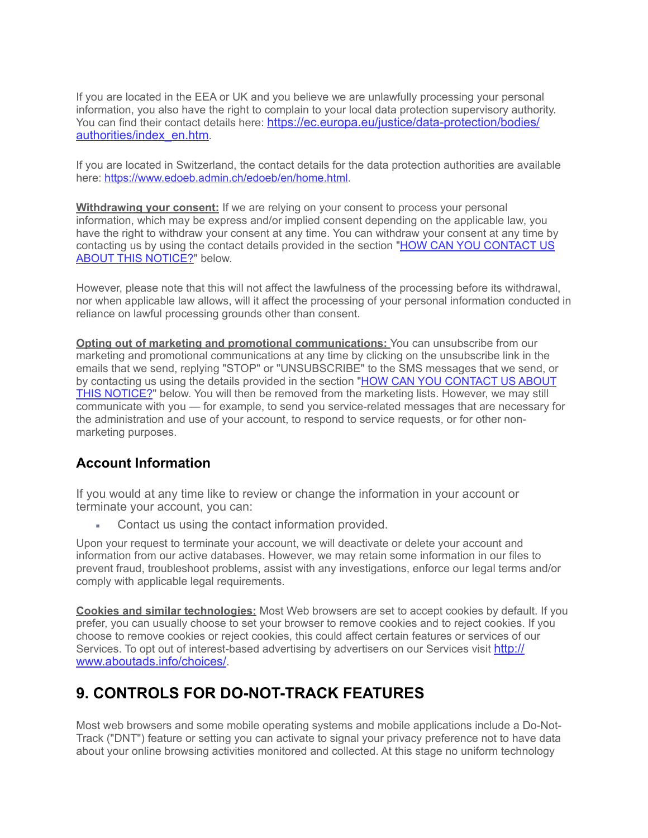If you are located in the EEA or UK and you believe we are unlawfully processing your personal information, you also have the right to complain to your local data protection supervisory authority. You can find their contact details here: [https://ec.europa.eu/justice/data-protection/bodies/](https://ec.europa.eu/justice/data-protection/bodies/authorities/index_en.htm) [authorities/index\\_en.htm](https://ec.europa.eu/justice/data-protection/bodies/authorities/index_en.htm).

If you are located in Switzerland, the contact details for the data protection authorities are available here: [https://www.edoeb.admin.ch/edoeb/en/home.html.](https://www.edoeb.admin.ch/edoeb/en/home.html)

**Withdrawing your consent:** If we are relying on your consent to process your personal information, which may be express and/or implied consent depending on the applicable law, you have the right to withdraw your consent at any time. You can withdraw your consent at any time by contacting us by using the contact details provided in the section ["HOW CAN YOU CONTACT US](https://app.termly.io/dashboard/website/d2daca8b-8015-400c-981c-c3dcfcb11d65/privacy-policy#contact)  [ABOUT THIS NOTICE?](https://app.termly.io/dashboard/website/d2daca8b-8015-400c-981c-c3dcfcb11d65/privacy-policy#contact)" below.

However, please note that this will not affect the lawfulness of the processing before its withdrawal, nor when applicable law allows, will it affect the processing of your personal information conducted in reliance on lawful processing grounds other than consent.

**Opting out of marketing and promotional communications:** You can unsubscribe from our marketing and promotional communications at any time by clicking on the unsubscribe link in the emails that we send, replying "STOP" or "UNSUBSCRIBE" to the SMS messages that we send, or by contacting us using the details provided in the section ["HOW CAN YOU CONTACT US ABOUT](https://app.termly.io/dashboard/website/d2daca8b-8015-400c-981c-c3dcfcb11d65/privacy-policy#contact)  [THIS NOTICE?](https://app.termly.io/dashboard/website/d2daca8b-8015-400c-981c-c3dcfcb11d65/privacy-policy#contact)" below. You will then be removed from the marketing lists. However, we may still communicate with you — for example, to send you service-related messages that are necessary for the administration and use of your account, to respond to service requests, or for other nonmarketing purposes.

#### **Account Information**

If you would at any time like to review or change the information in your account or terminate your account, you can:

Contact us using the contact information provided.

Upon your request to terminate your account, we will deactivate or delete your account and information from our active databases. However, we may retain some information in our files to prevent fraud, troubleshoot problems, assist with any investigations, enforce our legal terms and/or comply with applicable legal requirements.

**Cookies and similar technologies:** Most Web browsers are set to accept cookies by default. If you prefer, you can usually choose to set your browser to remove cookies and to reject cookies. If you choose to remove cookies or reject cookies, this could affect certain features or services of our Services. To opt out of interest-based advertising by advertisers on our Services visit [http://](http://www.aboutads.info/choices/) [www.aboutads.info/choices/.](http://www.aboutads.info/choices/)

# **9. CONTROLS FOR DO-NOT-TRACK FEATURES**

Most web browsers and some mobile operating systems and mobile applications include a Do-Not-Track ("DNT") feature or setting you can activate to signal your privacy preference not to have data about your online browsing activities monitored and collected. At this stage no uniform technology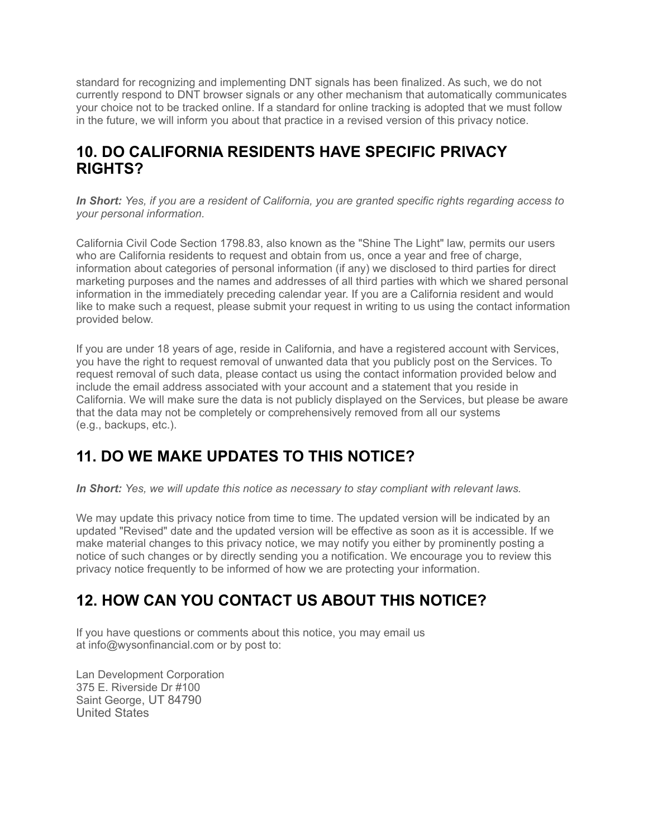standard for recognizing and implementing DNT signals has been finalized. As such, we do not currently respond to DNT browser signals or any other mechanism that automatically communicates your choice not to be tracked online. If a standard for online tracking is adopted that we must follow in the future, we will inform you about that practice in a revised version of this privacy notice.

#### **10. DO CALIFORNIA RESIDENTS HAVE SPECIFIC PRIVACY RIGHTS?**

*In Short: Yes, if you are a resident of California, you are granted specific rights regarding access to your personal information.*

California Civil Code Section 1798.83, also known as the "Shine The Light" law, permits our users who are California residents to request and obtain from us, once a year and free of charge, information about categories of personal information (if any) we disclosed to third parties for direct marketing purposes and the names and addresses of all third parties with which we shared personal information in the immediately preceding calendar year. If you are a California resident and would like to make such a request, please submit your request in writing to us using the contact information provided below.

If you are under 18 years of age, reside in California, and have a registered account with Services, you have the right to request removal of unwanted data that you publicly post on the Services. To request removal of such data, please contact us using the contact information provided below and include the email address associated with your account and a statement that you reside in California. We will make sure the data is not publicly displayed on the Services, but please be aware that the data may not be completely or comprehensively removed from all our systems (e.g., backups, etc.).

# **11. DO WE MAKE UPDATES TO THIS NOTICE?**

*In Short: Yes, we will update this notice as necessary to stay compliant with relevant laws.*

We may update this privacy notice from time to time. The updated version will be indicated by an updated "Revised" date and the updated version will be effective as soon as it is accessible. If we make material changes to this privacy notice, we may notify you either by prominently posting a notice of such changes or by directly sending you a notification. We encourage you to review this privacy notice frequently to be informed of how we are protecting your information.

# **12. HOW CAN YOU CONTACT US ABOUT THIS NOTICE?**

If you have questions or comments about this notice, you may email us at info@wysonfinancial.com or by post to:

Lan Development Corporation 375 E. Riverside Dr #100 Saint George, UT 84790 United States